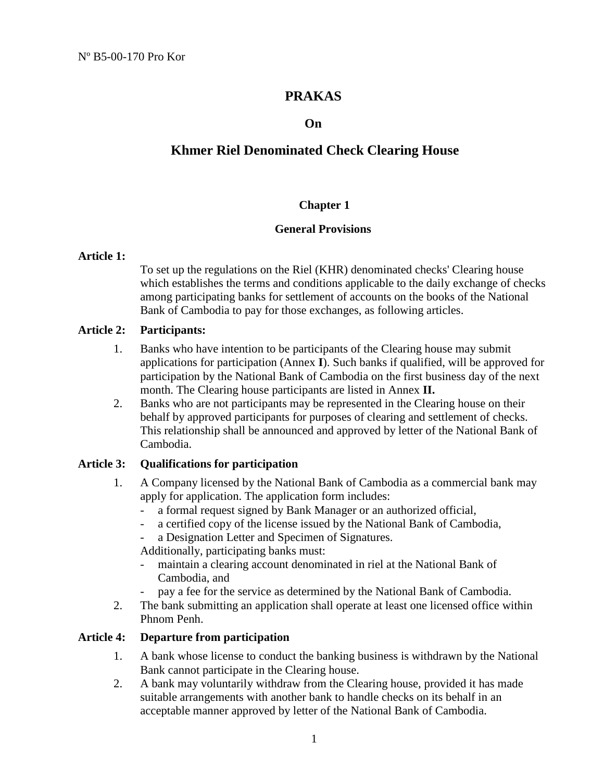# **PRAKAS**

## **On**

# **Khmer Riel Denominated Check Clearing House**

## **Chapter 1**

#### **General Provisions**

#### **Article 1:**

To set up the regulations on the Riel (KHR) denominated checks' Clearing house which establishes the terms and conditions applicable to the daily exchange of checks among participating banks for settlement of accounts on the books of the National Bank of Cambodia to pay for those exchanges, as following articles.

## **Article 2: Participants:**

- 1. Banks who have intention to be participants of the Clearing house may submit applications for participation (Annex **I**). Such banks if qualified, will be approved for participation by the National Bank of Cambodia on the first business day of the next month. The Clearing house participants are listed in Annex **II.**
- 2. Banks who are not participants may be represented in the Clearing house on their behalf by approved participants for purposes of clearing and settlement of checks. This relationship shall be announced and approved by letter of the National Bank of Cambodia.

## **Article 3: Qualifications for participation**

- 1. A Company licensed by the National Bank of Cambodia as a commercial bank may apply for application. The application form includes:
	- a formal request signed by Bank Manager or an authorized official,
	- a certified copy of the license issued by the National Bank of Cambodia,
	- a Designation Letter and Specimen of Signatures.

Additionally, participating banks must:

- maintain a clearing account denominated in riel at the National Bank of Cambodia, and
- pay a fee for the service as determined by the National Bank of Cambodia.
- 2. The bank submitting an application shall operate at least one licensed office within Phnom Penh.

#### **Article 4: Departure from participation**

- 1. A bank whose license to conduct the banking business is withdrawn by the National Bank cannot participate in the Clearing house.
- 2. A bank may voluntarily withdraw from the Clearing house, provided it has made suitable arrangements with another bank to handle checks on its behalf in an acceptable manner approved by letter of the National Bank of Cambodia.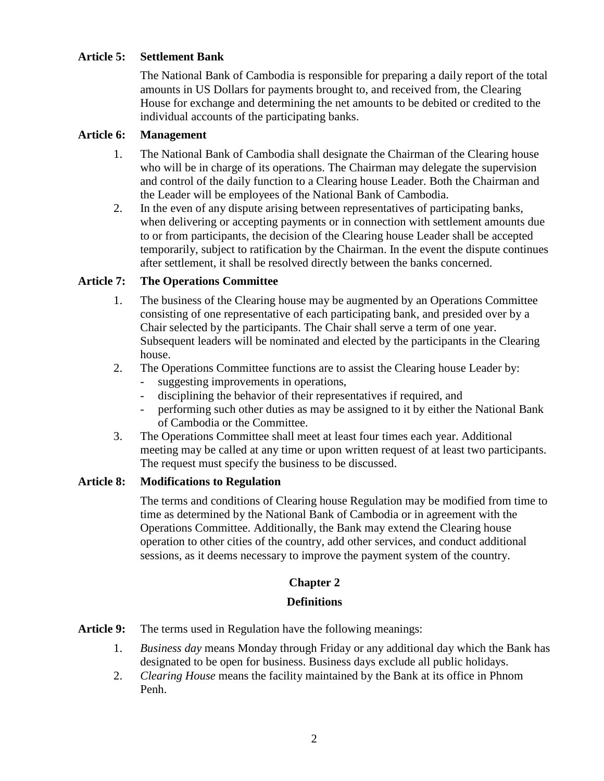## **Article 5: Settlement Bank**

 The National Bank of Cambodia is responsible for preparing a daily report of the total amounts in US Dollars for payments brought to, and received from, the Clearing House for exchange and determining the net amounts to be debited or credited to the individual accounts of the participating banks.

## **Article 6: Management**

- 1. The National Bank of Cambodia shall designate the Chairman of the Clearing house who will be in charge of its operations. The Chairman may delegate the supervision and control of the daily function to a Clearing house Leader. Both the Chairman and the Leader will be employees of the National Bank of Cambodia.
- 2. In the even of any dispute arising between representatives of participating banks, when delivering or accepting payments or in connection with settlement amounts due to or from participants, the decision of the Clearing house Leader shall be accepted temporarily, subject to ratification by the Chairman. In the event the dispute continues after settlement, it shall be resolved directly between the banks concerned.

## **Article 7: The Operations Committee**

- 1. The business of the Clearing house may be augmented by an Operations Committee consisting of one representative of each participating bank, and presided over by a Chair selected by the participants. The Chair shall serve a term of one year. Subsequent leaders will be nominated and elected by the participants in the Clearing house.
- 2. The Operations Committee functions are to assist the Clearing house Leader by:
	- suggesting improvements in operations,
	- disciplining the behavior of their representatives if required, and
	- performing such other duties as may be assigned to it by either the National Bank of Cambodia or the Committee.
- 3. The Operations Committee shall meet at least four times each year. Additional meeting may be called at any time or upon written request of at least two participants. The request must specify the business to be discussed.

#### **Article 8: Modifications to Regulation**

 The terms and conditions of Clearing house Regulation may be modified from time to time as determined by the National Bank of Cambodia or in agreement with the Operations Committee. Additionally, the Bank may extend the Clearing house operation to other cities of the country, add other services, and conduct additional sessions, as it deems necessary to improve the payment system of the country.

## **Chapter 2**

#### **Definitions**

- Article 9: The terms used in Regulation have the following meanings:
	- 1. *Business day* means Monday through Friday or any additional day which the Bank has designated to be open for business. Business days exclude all public holidays.
	- 2. *Clearing House* means the facility maintained by the Bank at its office in Phnom Penh.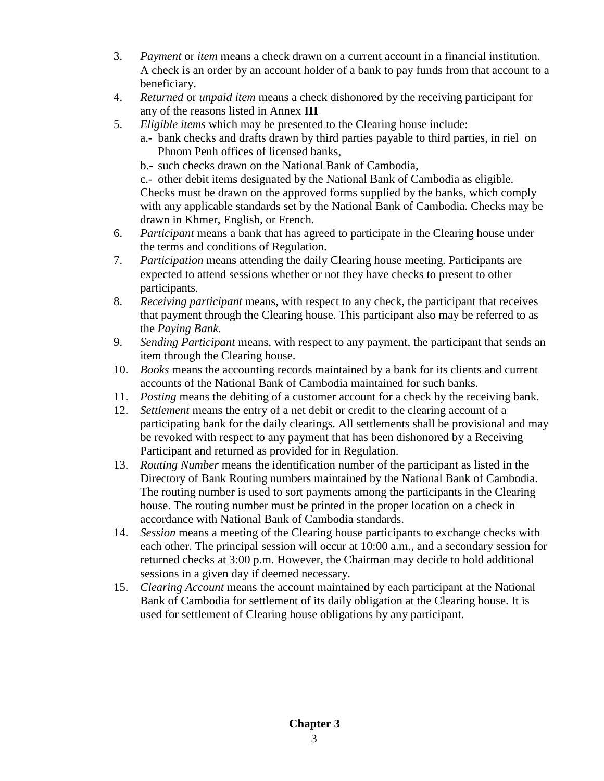- 3. *Payment* or *item* means a check drawn on a current account in a financial institution. A check is an order by an account holder of a bank to pay funds from that account to a beneficiary.
- 4. *Returned* or *unpaid item* means a check dishonored by the receiving participant for any of the reasons listed in Annex **III**
- 5. *Eligible items* which may be presented to the Clearing house include:
	- a.- bank checks and drafts drawn by third parties payable to third parties, in riel on Phnom Penh offices of licensed banks,
		- b.- such checks drawn on the National Bank of Cambodia,

 c.- other debit items designated by the National Bank of Cambodia as eligible. Checks must be drawn on the approved forms supplied by the banks, which comply with any applicable standards set by the National Bank of Cambodia. Checks may be drawn in Khmer, English, or French.

- 6. *Participant* means a bank that has agreed to participate in the Clearing house under the terms and conditions of Regulation.
- 7. *Participation* means attending the daily Clearing house meeting. Participants are expected to attend sessions whether or not they have checks to present to other participants.
- 8. *Receiving participant* means, with respect to any check, the participant that receives that payment through the Clearing house. This participant also may be referred to as the *Paying Bank.*
- 9. *Sending Participant* means, with respect to any payment, the participant that sends an item through the Clearing house.
- 10. *Books* means the accounting records maintained by a bank for its clients and current accounts of the National Bank of Cambodia maintained for such banks.
- 11. *Posting* means the debiting of a customer account for a check by the receiving bank.
- 12. *Settlement* means the entry of a net debit or credit to the clearing account of a participating bank for the daily clearings. All settlements shall be provisional and may be revoked with respect to any payment that has been dishonored by a Receiving Participant and returned as provided for in Regulation.
- 13. *Routing Number* means the identification number of the participant as listed in the Directory of Bank Routing numbers maintained by the National Bank of Cambodia. The routing number is used to sort payments among the participants in the Clearing house. The routing number must be printed in the proper location on a check in accordance with National Bank of Cambodia standards.
- 14. *Session* means a meeting of the Clearing house participants to exchange checks with each other. The principal session will occur at 10:00 a.m., and a secondary session for returned checks at 3:00 p.m. However, the Chairman may decide to hold additional sessions in a given day if deemed necessary.
- 15. *Clearing Account* means the account maintained by each participant at the National Bank of Cambodia for settlement of its daily obligation at the Clearing house. It is used for settlement of Clearing house obligations by any participant.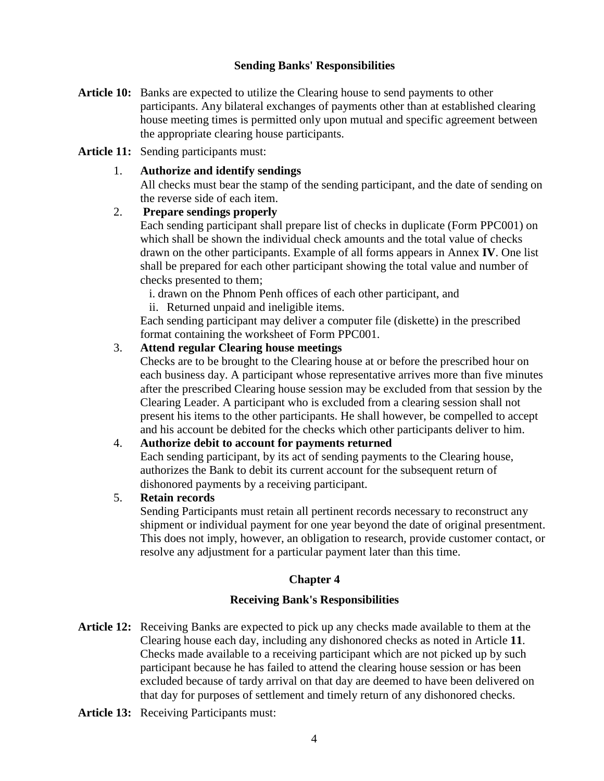## **Sending Banks' Responsibilities**

**Article 10:** Banks are expected to utilize the Clearing house to send payments to other participants. Any bilateral exchanges of payments other than at established clearing house meeting times is permitted only upon mutual and specific agreement between the appropriate clearing house participants.

## **Article 11:** Sending participants must:

## 1. **Authorize and identify sendings**

 All checks must bear the stamp of the sending participant, and the date of sending on the reverse side of each item.

## 2. **Prepare sendings properly**

 Each sending participant shall prepare list of checks in duplicate (Form PPC001) on which shall be shown the individual check amounts and the total value of checks drawn on the other participants. Example of all forms appears in Annex **IV**. One list shall be prepared for each other participant showing the total value and number of checks presented to them;

i. drawn on the Phnom Penh offices of each other participant, and

ii. Returned unpaid and ineligible items.

Each sending participant may deliver a computer file (diskette) in the prescribed format containing the worksheet of Form PPC001.

## 3. **Attend regular Clearing house meetings**

 Checks are to be brought to the Clearing house at or before the prescribed hour on each business day. A participant whose representative arrives more than five minutes after the prescribed Clearing house session may be excluded from that session by the Clearing Leader. A participant who is excluded from a clearing session shall not present his items to the other participants. He shall however, be compelled to accept and his account be debited for the checks which other participants deliver to him.

## 4. **Authorize debit to account for payments returned**

 Each sending participant, by its act of sending payments to the Clearing house, authorizes the Bank to debit its current account for the subsequent return of dishonored payments by a receiving participant.

#### 5. **Retain records**

 Sending Participants must retain all pertinent records necessary to reconstruct any shipment or individual payment for one year beyond the date of original presentment. This does not imply, however, an obligation to research, provide customer contact, or resolve any adjustment for a particular payment later than this time.

## **Chapter 4**

## **Receiving Bank's Responsibilities**

- **Article 12:** Receiving Banks are expected to pick up any checks made available to them at the Clearing house each day, including any dishonored checks as noted in Article **11**. Checks made available to a receiving participant which are not picked up by such participant because he has failed to attend the clearing house session or has been excluded because of tardy arrival on that day are deemed to have been delivered on that day for purposes of settlement and timely return of any dishonored checks.
- **Article 13:** Receiving Participants must: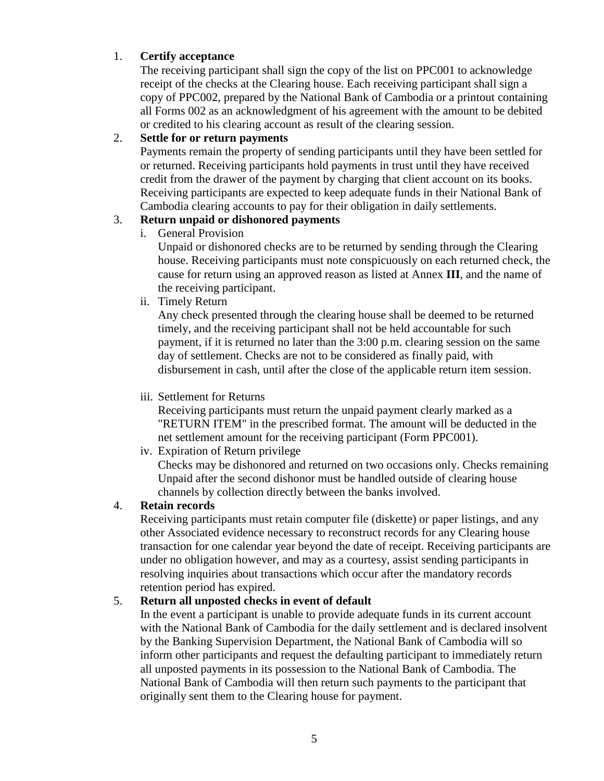## 1. **Certify acceptance**

 The receiving participant shall sign the copy of the list on PPC001 to acknowledge receipt of the checks at the Clearing house. Each receiving participant shall sign a copy of PPC002, prepared by the National Bank of Cambodia or a printout containing all Forms 002 as an acknowledgment of his agreement with the amount to be debited or credited to his clearing account as result of the clearing session.

## 2. **Settle for or return payments**

 Payments remain the property of sending participants until they have been settled for or returned. Receiving participants hold payments in trust until they have received credit from the drawer of the payment by charging that client account on its books. Receiving participants are expected to keep adequate funds in their National Bank of Cambodia clearing accounts to pay for their obligation in daily settlements.

## 3. **Return unpaid or dishonored payments**

i. General Provision

 Unpaid or dishonored checks are to be returned by sending through the Clearing house. Receiving participants must note conspicuously on each returned check, the cause for return using an approved reason as listed at Annex **III**, and the name of the receiving participant.

ii. Timely Return

 Any check presented through the clearing house shall be deemed to be returned timely, and the receiving participant shall not be held accountable for such payment, if it is returned no later than the 3:00 p.m. clearing session on the same day of settlement. Checks are not to be considered as finally paid, with disbursement in cash, until after the close of the applicable return item session.

## iii. Settlement for Returns

 Receiving participants must return the unpaid payment clearly marked as a "RETURN ITEM" in the prescribed format. The amount will be deducted in the net settlement amount for the receiving participant (Form PPC001).

iv. Expiration of Return privilege

 Checks may be dishonored and returned on two occasions only. Checks remaining Unpaid after the second dishonor must be handled outside of clearing house channels by collection directly between the banks involved.

## 4. **Retain records**

 Receiving participants must retain computer file (diskette) or paper listings, and any other Associated evidence necessary to reconstruct records for any Clearing house transaction for one calendar year beyond the date of receipt. Receiving participants are under no obligation however, and may as a courtesy, assist sending participants in resolving inquiries about transactions which occur after the mandatory records retention period has expired.

## 5. **Return all unposted checks in event of default**

 In the event a participant is unable to provide adequate funds in its current account with the National Bank of Cambodia for the daily settlement and is declared insolvent by the Banking Supervision Department, the National Bank of Cambodia will so inform other participants and request the defaulting participant to immediately return all unposted payments in its possession to the National Bank of Cambodia. The National Bank of Cambodia will then return such payments to the participant that originally sent them to the Clearing house for payment.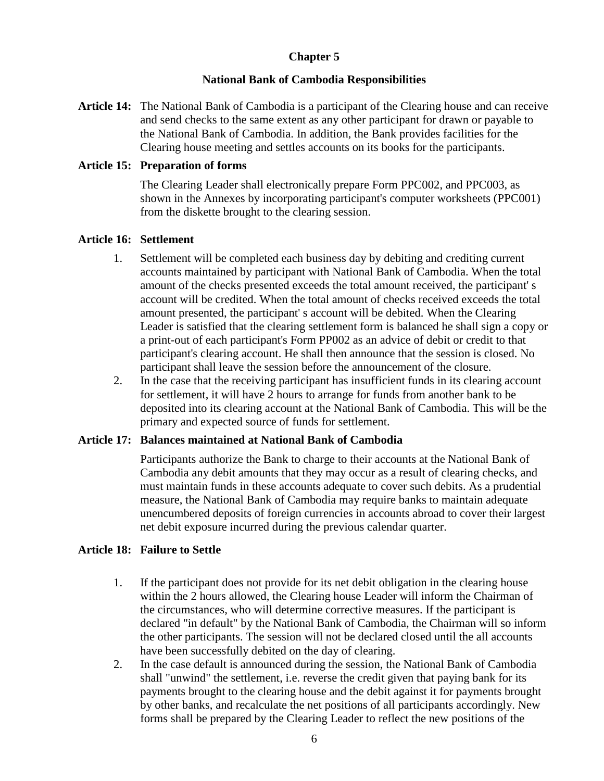## **Chapter 5**

## **National Bank of Cambodia Responsibilities**

**Article 14:** The National Bank of Cambodia is a participant of the Clearing house and can receive and send checks to the same extent as any other participant for drawn or payable to the National Bank of Cambodia. In addition, the Bank provides facilities for the Clearing house meeting and settles accounts on its books for the participants.

## **Article 15: Preparation of forms**

 The Clearing Leader shall electronically prepare Form PPC002, and PPC003, as shown in the Annexes by incorporating participant's computer worksheets (PPC001) from the diskette brought to the clearing session.

## **Article 16: Settlement**

- 1. Settlement will be completed each business day by debiting and crediting current accounts maintained by participant with National Bank of Cambodia. When the total amount of the checks presented exceeds the total amount received, the participant' s account will be credited. When the total amount of checks received exceeds the total amount presented, the participant' s account will be debited. When the Clearing Leader is satisfied that the clearing settlement form is balanced he shall sign a copy or a print-out of each participant's Form PP002 as an advice of debit or credit to that participant's clearing account. He shall then announce that the session is closed. No participant shall leave the session before the announcement of the closure.
- 2. In the case that the receiving participant has insufficient funds in its clearing account for settlement, it will have 2 hours to arrange for funds from another bank to be deposited into its clearing account at the National Bank of Cambodia. This will be the primary and expected source of funds for settlement.

#### **Article 17: Balances maintained at National Bank of Cambodia**

 Participants authorize the Bank to charge to their accounts at the National Bank of Cambodia any debit amounts that they may occur as a result of clearing checks, and must maintain funds in these accounts adequate to cover such debits. As a prudential measure, the National Bank of Cambodia may require banks to maintain adequate unencumbered deposits of foreign currencies in accounts abroad to cover their largest net debit exposure incurred during the previous calendar quarter.

## **Article 18: Failure to Settle**

- 1. If the participant does not provide for its net debit obligation in the clearing house within the 2 hours allowed, the Clearing house Leader will inform the Chairman of the circumstances, who will determine corrective measures. If the participant is declared "in default" by the National Bank of Cambodia, the Chairman will so inform the other participants. The session will not be declared closed until the all accounts have been successfully debited on the day of clearing.
- 2. In the case default is announced during the session, the National Bank of Cambodia shall "unwind" the settlement, i.e. reverse the credit given that paying bank for its payments brought to the clearing house and the debit against it for payments brought by other banks, and recalculate the net positions of all participants accordingly. New forms shall be prepared by the Clearing Leader to reflect the new positions of the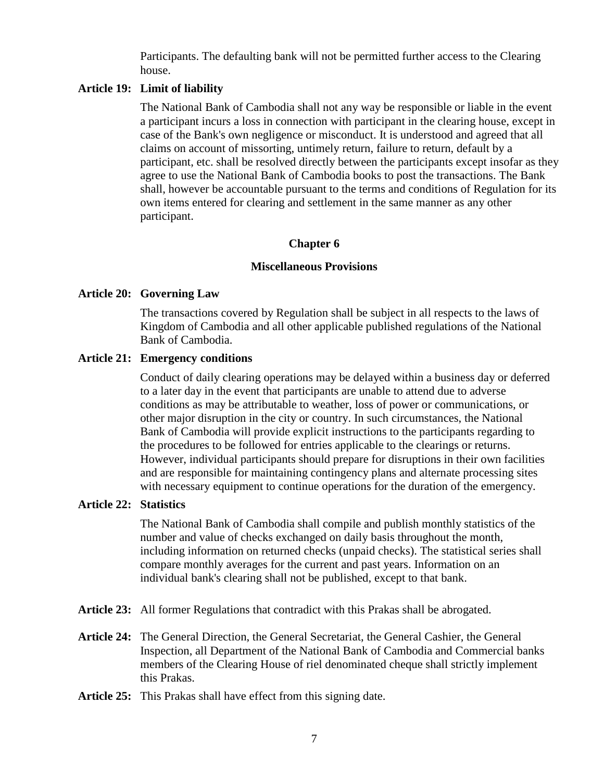Participants. The defaulting bank will not be permitted further access to the Clearing house.

#### **Article 19: Limit of liability**

 The National Bank of Cambodia shall not any way be responsible or liable in the event a participant incurs a loss in connection with participant in the clearing house, except in case of the Bank's own negligence or misconduct. It is understood and agreed that all claims on account of missorting, untimely return, failure to return, default by a participant, etc. shall be resolved directly between the participants except insofar as they agree to use the National Bank of Cambodia books to post the transactions. The Bank shall, however be accountable pursuant to the terms and conditions of Regulation for its own items entered for clearing and settlement in the same manner as any other participant.

#### **Chapter 6**

#### **Miscellaneous Provisions**

#### **Article 20: Governing Law**

 The transactions covered by Regulation shall be subject in all respects to the laws of Kingdom of Cambodia and all other applicable published regulations of the National Bank of Cambodia.

#### **Article 21: Emergency conditions**

 Conduct of daily clearing operations may be delayed within a business day or deferred to a later day in the event that participants are unable to attend due to adverse conditions as may be attributable to weather, loss of power or communications, or other major disruption in the city or country. In such circumstances, the National Bank of Cambodia will provide explicit instructions to the participants regarding to the procedures to be followed for entries applicable to the clearings or returns. However, individual participants should prepare for disruptions in their own facilities and are responsible for maintaining contingency plans and alternate processing sites with necessary equipment to continue operations for the duration of the emergency.

## **Article 22: Statistics**

 The National Bank of Cambodia shall compile and publish monthly statistics of the number and value of checks exchanged on daily basis throughout the month, including information on returned checks (unpaid checks). The statistical series shall compare monthly averages for the current and past years. Information on an individual bank's clearing shall not be published, except to that bank.

- **Article 23:** All former Regulations that contradict with this Prakas shall be abrogated.
- **Article 24:** The General Direction, the General Secretariat, the General Cashier, the General Inspection, all Department of the National Bank of Cambodia and Commercial banks members of the Clearing House of riel denominated cheque shall strictly implement this Prakas.
- **Article 25:** This Prakas shall have effect from this signing date.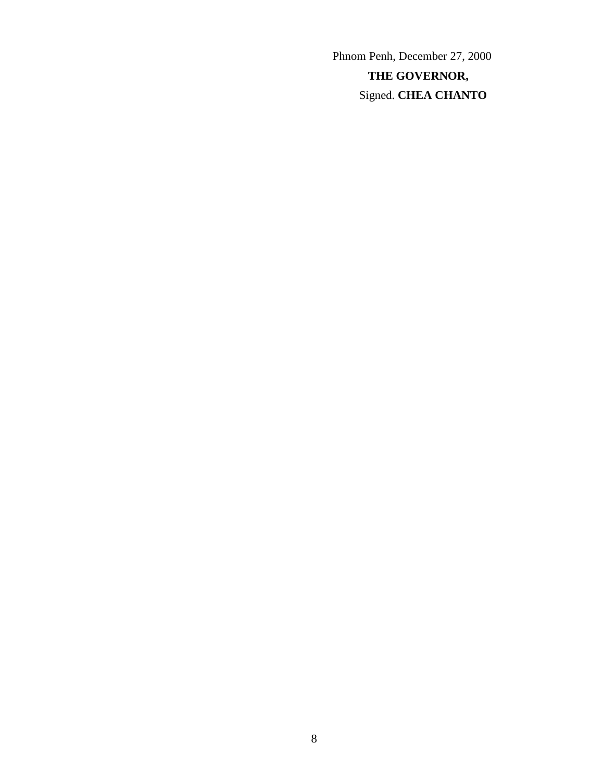Phnom Penh, December 27, 2000 **THE GOVERNOR,** Signed. **CHEA CHANTO**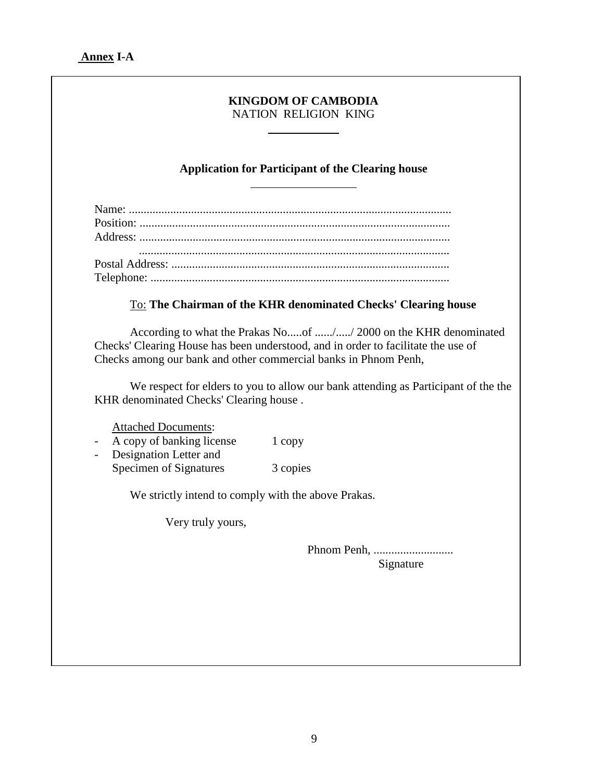# **KINGDOM OF CAMBODIA**  NATION RELIGION KING  $\overline{a}$ **Application for Participant of the Clearing house**   $\overline{a}$ Name: ............................................................................................................. Position: ......................................................................................................... Address: ......................................................................................................... ......................................................................................................... Postal Address: .............................................................................................. Telephone: ..................................................................................................... To: **The Chairman of the KHR denominated Checks' Clearing house**  According to what the Prakas No.....of ....../...../ 2000 on the KHR denominated Checks' Clearing House has been understood, and in order to facilitate the use of Checks among our bank and other commercial banks in Phnom Penh, We respect for elders to you to allow our bank attending as Participant of the the KHR denominated Checks' Clearing house . Attached Documents: A copy of banking license 1 copy Designation Letter and Specimen of Signatures 3 copies We strictly intend to comply with the above Prakas. Very truly yours, Phnom Penh, ........................... Signature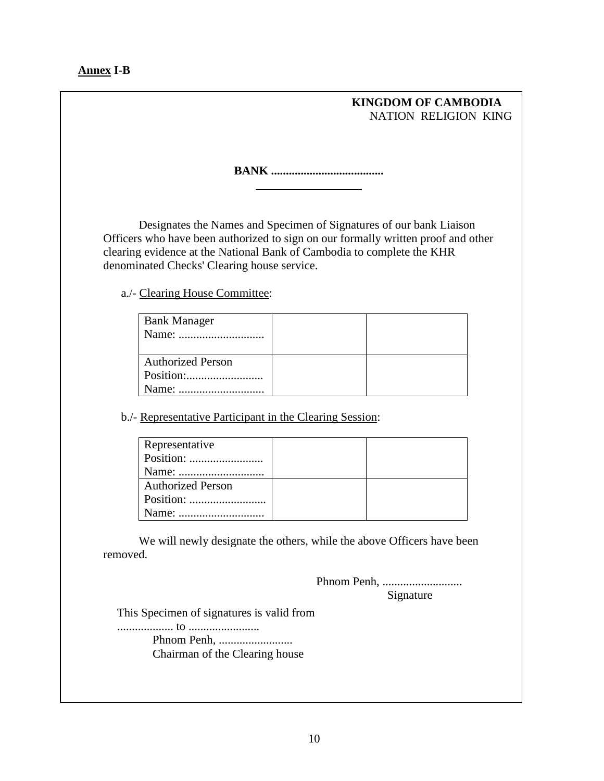**Annex I-B** 

## **KINGDOM OF CAMBODIA**  NATION RELIGION KING

**BANK ......................................** 

Designates the Names and Specimen of Signatures of our bank Liaison Officers who have been authorized to sign on our formally written proof and other clearing evidence at the National Bank of Cambodia to complete the KHR denominated Checks' Clearing house service.

a./- Clearing House Committee:

| <b>Bank Manager</b>      |  |
|--------------------------|--|
| <b>Authorized Person</b> |  |
|                          |  |

b./- Representative Participant in the Clearing Session:

 $\overline{a}$ 

| Representative           |  |
|--------------------------|--|
|                          |  |
|                          |  |
| <b>Authorized Person</b> |  |
|                          |  |
|                          |  |

 We will newly designate the others, while the above Officers have been removed.

> Phnom Penh, ........................... Signature

This Specimen of signatures is valid from

................... to ........................

 Phnom Penh, ......................... Chairman of the Clearing house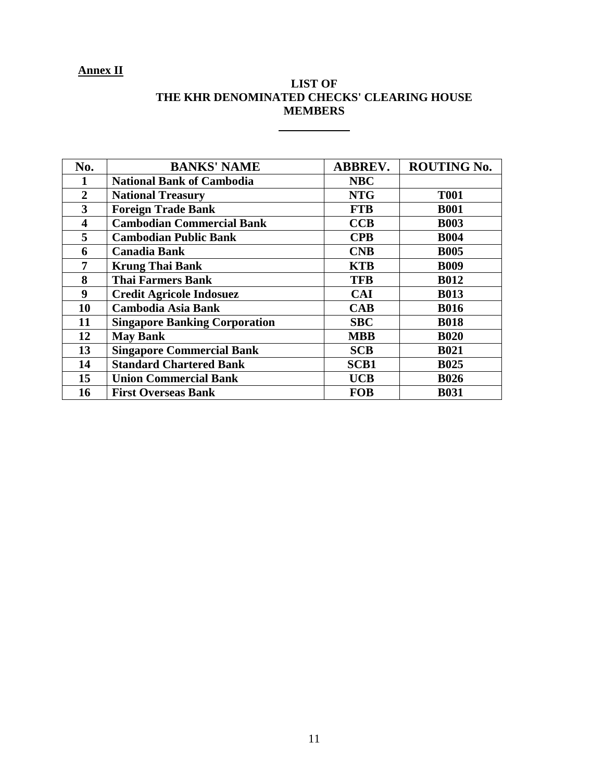# **Annex II**

| <b>LIST OF</b>                             |  |  |  |  |  |
|--------------------------------------------|--|--|--|--|--|
| THE KHR DENOMINATED CHECKS' CLEARING HOUSE |  |  |  |  |  |
| <b>MEMBERS</b>                             |  |  |  |  |  |

| No.              | <b>BANKS' NAME</b>                   | <b>ABBREV.</b> | <b>ROUTING No.</b> |
|------------------|--------------------------------------|----------------|--------------------|
| 1                | <b>National Bank of Cambodia</b>     | <b>NBC</b>     |                    |
| $\overline{2}$   | <b>National Treasury</b>             | <b>NTG</b>     | <b>T001</b>        |
| $\overline{3}$   | <b>Foreign Trade Bank</b>            | <b>FTB</b>     | <b>B001</b>        |
| 4                | <b>Cambodian Commercial Bank</b>     | CCB            | <b>B003</b>        |
| 5                | <b>Cambodian Public Bank</b>         | <b>CPB</b>     | <b>B004</b>        |
| 6                | <b>Canadia Bank</b>                  | <b>CNB</b>     | <b>B005</b>        |
| 7                | <b>Krung Thai Bank</b>               | <b>KTB</b>     | <b>B009</b>        |
| 8                | <b>Thai Farmers Bank</b>             | <b>TFB</b>     | <b>B012</b>        |
| $\boldsymbol{9}$ | <b>Credit Agricole Indosuez</b>      | <b>CAI</b>     | <b>B013</b>        |
| 10               | <b>Cambodia Asia Bank</b>            | CAB            | <b>B016</b>        |
| 11               | <b>Singapore Banking Corporation</b> | <b>SBC</b>     | <b>B018</b>        |
| 12               | <b>May Bank</b>                      | <b>MBB</b>     | <b>B020</b>        |
| 13               | <b>Singapore Commercial Bank</b>     | <b>SCB</b>     | <b>B021</b>        |
| 14               | <b>Standard Chartered Bank</b>       | <b>SCB1</b>    | <b>B025</b>        |
| 15               | <b>Union Commercial Bank</b>         | <b>UCB</b>     | <b>B026</b>        |
| 16               | <b>First Overseas Bank</b>           | <b>FOB</b>     | <b>B031</b>        |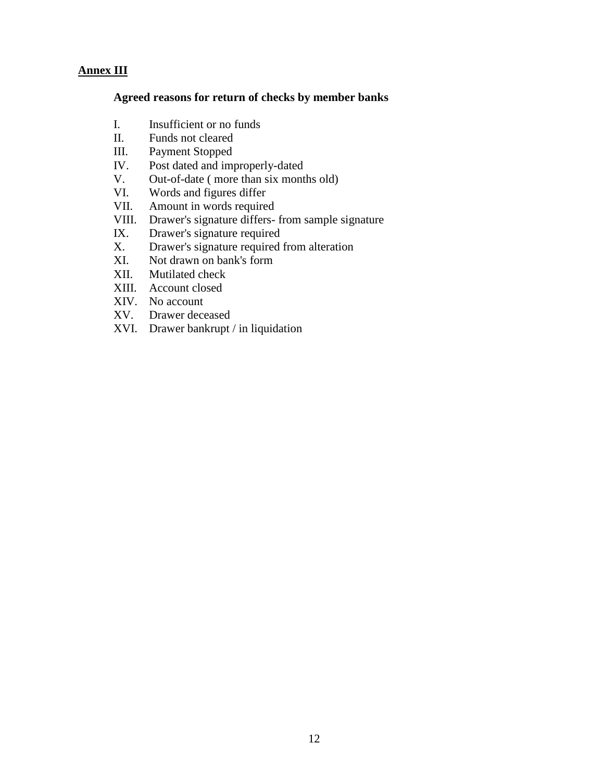## **Annex III**

#### **Agreed reasons for return of checks by member banks**

- I. Insufficient or no funds
- II. Funds not cleared
- III. Payment Stopped
- IV. Post dated and improperly-dated
- V. Out-of-date ( more than six months old)
- VI. Words and figures differ
- VII. Amount in words required
- VIII. Drawer's signature differs- from sample signature
- IX. Drawer's signature required
- X. Drawer's signature required from alteration
- XI. Not drawn on bank's form
- XII. Mutilated check
- XIII. Account closed
- XIV. No account
- XV. Drawer deceased
- XVI. Drawer bankrupt / in liquidation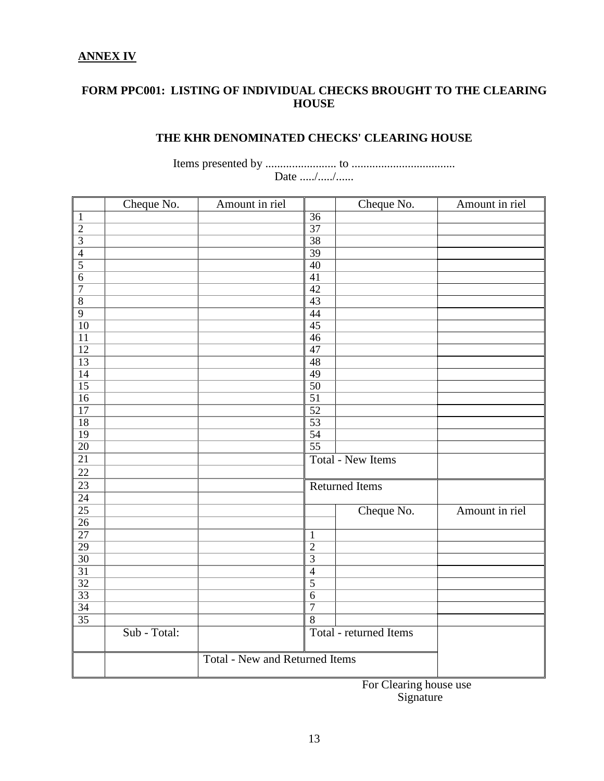# **ANNEX IV**

## **FORM PPC001: LISTING OF INDIVIDUAL CHECKS BROUGHT TO THE CLEARING HOUSE**

# **THE KHR DENOMINATED CHECKS' CLEARING HOUSE**

Items presented by ........................ to ................................... Date ...../...../......

|                    | Cheque No.   | Amount in riel                        |                 | Cheque No.               | Amount in riel |
|--------------------|--------------|---------------------------------------|-----------------|--------------------------|----------------|
| $\mathbf{1}$       |              |                                       | $\overline{36}$ |                          |                |
| $\frac{2}{3}$      |              |                                       | 37              |                          |                |
|                    |              |                                       | $\overline{38}$ |                          |                |
| $\overline{4}$     |              |                                       | 39              |                          |                |
|                    |              |                                       | 40              |                          |                |
| $\frac{5}{6}$      |              |                                       | $\overline{41}$ |                          |                |
| $\overline{7}$     |              |                                       | $\overline{42}$ |                          |                |
| $\overline{\bf 8}$ |              |                                       | 43              |                          |                |
| $\overline{9}$     |              |                                       | 44              |                          |                |
| 10                 |              |                                       | 45              |                          |                |
| 11                 |              |                                       | 46              |                          |                |
| $\overline{12}$    |              |                                       | 47              |                          |                |
| $\overline{13}$    |              |                                       | $\overline{48}$ |                          |                |
| $\overline{14}$    |              |                                       | 49              |                          |                |
| $\overline{15}$    |              |                                       | $\overline{50}$ |                          |                |
| $\overline{16}$    |              |                                       | $\overline{51}$ |                          |                |
| $\overline{17}$    |              |                                       | $\overline{52}$ |                          |                |
| $\overline{18}$    |              |                                       | $\overline{53}$ |                          |                |
| 19                 |              |                                       | $\overline{54}$ |                          |                |
| $\overline{20}$    |              |                                       | $\overline{55}$ |                          |                |
| $\overline{21}$    |              |                                       |                 | <b>Total - New Items</b> |                |
| $\overline{22}$    |              |                                       |                 |                          |                |
| $\frac{23}{24}$    |              |                                       |                 | <b>Returned Items</b>    |                |
|                    |              |                                       |                 |                          |                |
| $\overline{25}$    |              |                                       |                 | Cheque No.               | Amount in riel |
| $\overline{26}$    |              |                                       |                 |                          |                |
| 27                 |              |                                       | $\mathbf{1}$    |                          |                |
| 29                 |              |                                       | $\overline{2}$  |                          |                |
| $\overline{30}$    |              |                                       | $\overline{3}$  |                          |                |
| $\overline{31}$    |              |                                       | $\overline{4}$  |                          |                |
| $\overline{32}$    |              |                                       | $\overline{5}$  |                          |                |
| 33                 |              |                                       | $\sqrt{6}$      |                          |                |
| $\overline{34}$    |              |                                       | $\overline{7}$  |                          |                |
| $\overline{35}$    |              |                                       | $\overline{8}$  |                          |                |
|                    | Sub - Total: |                                       |                 | Total - returned Items   |                |
|                    |              |                                       |                 |                          |                |
|                    |              | <b>Total - New and Returned Items</b> |                 |                          |                |
|                    |              |                                       |                 |                          |                |

For Clearing house use Signature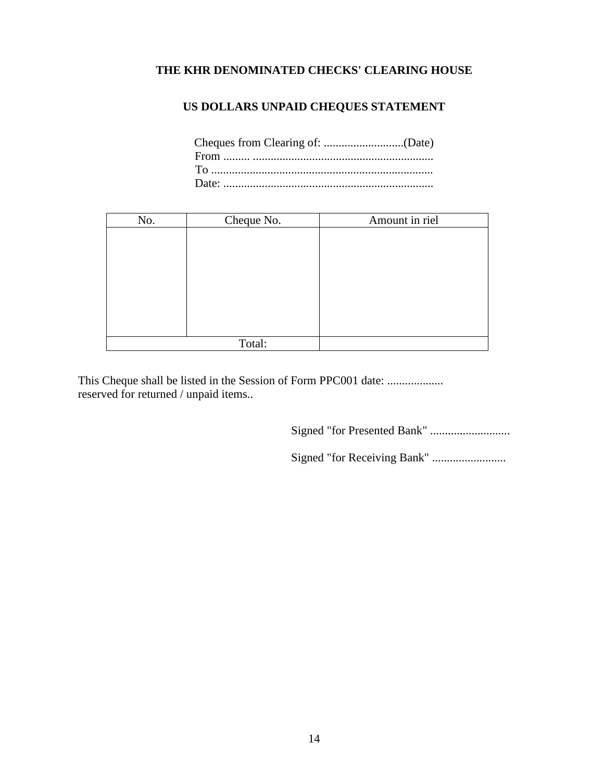# **THE KHR DENOMINATED CHECKS' CLEARING HOUSE**

# **US DOLLARS UNPAID CHEQUES STATEMENT**

| No. | Cheque No. | Amount in riel |
|-----|------------|----------------|
|     |            |                |
|     |            |                |
|     |            |                |
|     |            |                |
|     |            |                |
|     |            |                |
|     |            |                |
|     |            |                |
|     | Total:     |                |

This Cheque shall be listed in the Session of Form PPC001 date: .................... reserved for returned / unpaid items..

Signed "for Presented Bank" ...........................

Signed "for Receiving Bank" .........................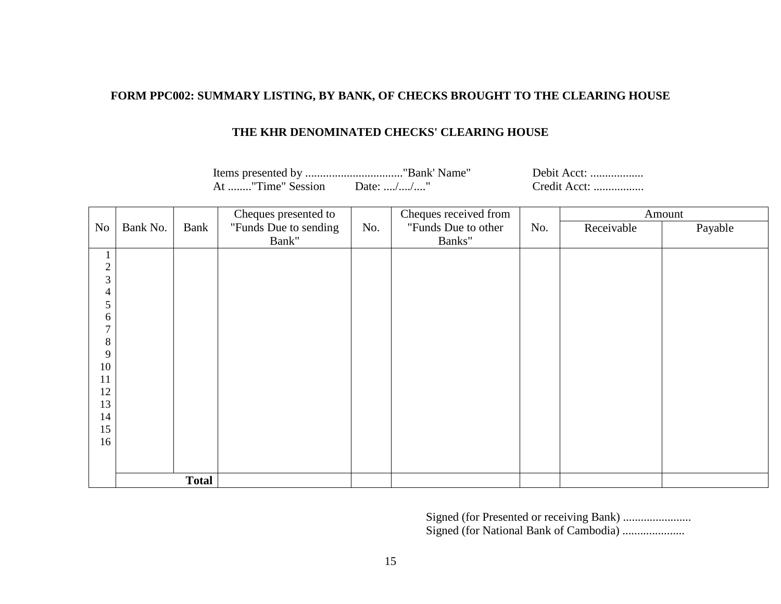## **FORM PPC002: SUMMARY LISTING, BY BANK, OF CHECKS BROUGHT TO THE CLEARING HOUSE**

## **THE KHR DENOMINATED CHECKS' CLEARING HOUSE**

Items presented by ................................."Bank' Name" Debit Acct: .................. Credit Acct: ................. At ........"Time" Session Date: ..../..../...."

|                         |          | Cheques presented to |                       |     | Cheques received from |     |            | Amount  |  |
|-------------------------|----------|----------------------|-----------------------|-----|-----------------------|-----|------------|---------|--|
| No                      | Bank No. | Bank                 | "Funds Due to sending | No. | "Funds Due to other   | No. | Receivable | Payable |  |
|                         |          |                      | Bank"                 |     | Banks"                |     |            |         |  |
| $\mathbf{1}$            |          |                      |                       |     |                       |     |            |         |  |
| $\sqrt{2}$              |          |                      |                       |     |                       |     |            |         |  |
| 3                       |          |                      |                       |     |                       |     |            |         |  |
| $\overline{4}$          |          |                      |                       |     |                       |     |            |         |  |
| 5                       |          |                      |                       |     |                       |     |            |         |  |
| 6<br>$\mathcal{I}$      |          |                      |                       |     |                       |     |            |         |  |
|                         |          |                      |                       |     |                       |     |            |         |  |
| $8\,$<br>$\overline{9}$ |          |                      |                       |     |                       |     |            |         |  |
| $10\,$                  |          |                      |                       |     |                       |     |            |         |  |
| $11\,$                  |          |                      |                       |     |                       |     |            |         |  |
| 12                      |          |                      |                       |     |                       |     |            |         |  |
| 13                      |          |                      |                       |     |                       |     |            |         |  |
| 14                      |          |                      |                       |     |                       |     |            |         |  |
| 15                      |          |                      |                       |     |                       |     |            |         |  |
| 16                      |          |                      |                       |     |                       |     |            |         |  |
|                         |          |                      |                       |     |                       |     |            |         |  |
|                         |          |                      |                       |     |                       |     |            |         |  |
|                         |          | <b>Total</b>         |                       |     |                       |     |            |         |  |

Signed (for Presented or receiving Bank) ....................... Signed (for National Bank of Cambodia) .....................